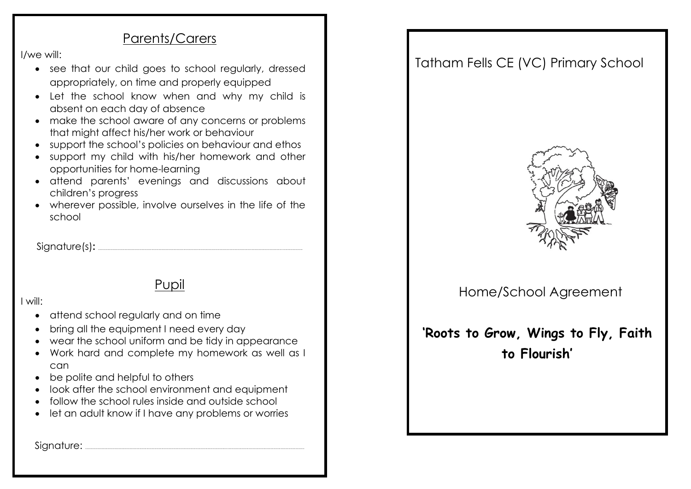#### Parents/Carers

I/we will:

- see that our child goes to school regularly, dressed appropriately, on time and properly equipped
- Let the school know when and why my child is absent on each day of absence
- make the school aware of any concerns or problems that might affect his/her work or behaviour
- support the school's policies on behaviour and ethos
- support my child with his/her homework and other opportunities for home-learning
- attend parents' evenings and discussions about children's progress
- wherever possible, involve ourselves in the life of the school

Signature(s)**:** ....................................................................................................................................................................................

## Pupil

I will:

- attend school regularly and on time
- bring all the equipment I need every day
- wear the school uniform and be tidy in appearance
- Work hard and complete my homework as well as I can
- be polite and helpful to others
- look after the school environment and equipment
- follow the school rules inside and outside school
- let an adult know if I have any problems or worries

Signature: .................................................................................................................................................................................................

## Tatham Fells CE (VC) Primary School



### Home/School Agreement

# **'Roots to Grow, Wings to Fly, Faith to Flourish'**